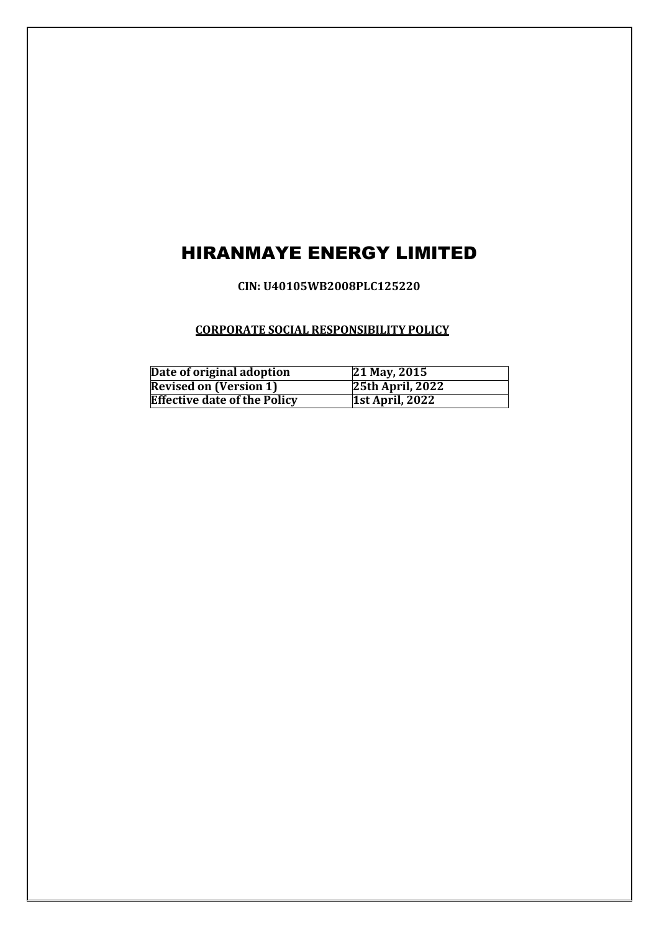# HIRANMAYE ENERGY LIMITED

**CIN: U40105WB2008PLC125220**

# **CORPORATE SOCIAL RESPONSIBILITY POLICY**

| Date of original adoption           | 21 May, 2015            |
|-------------------------------------|-------------------------|
| <b>Revised on (Version 1)</b>       | <b>25th April, 2022</b> |
| <b>Effective date of the Policy</b> | <b>1st April, 2022</b>  |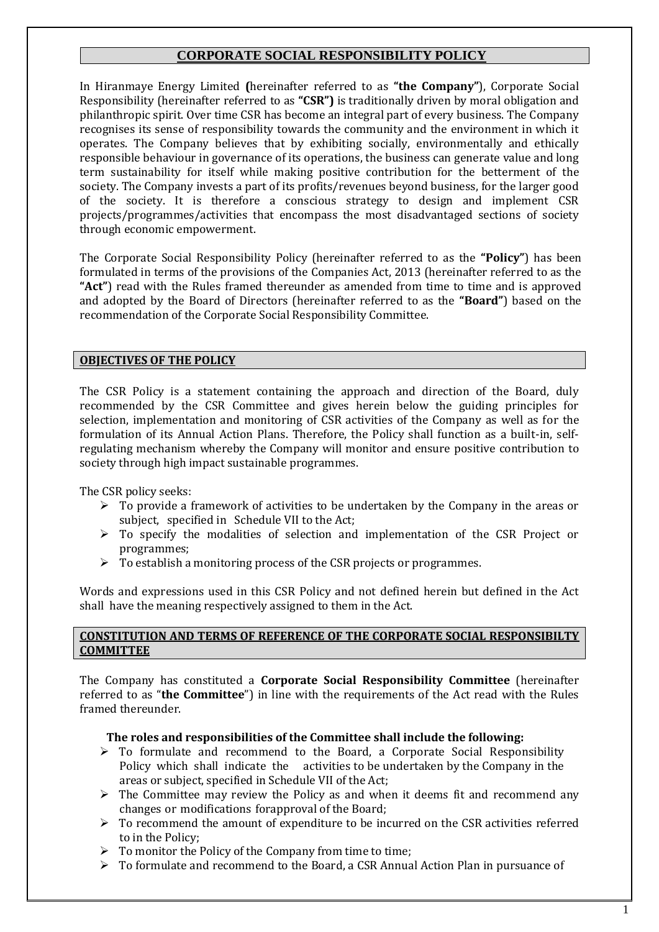# **CORPORATE SOCIAL RESPONSIBILITY POLICY**

In Hiranmaye Energy Limited **(**hereinafter referred to as **"the Company"**), Corporate Social Responsibility (hereinafter referred to as **"CSR")** is traditionally driven by moral obligation and philanthropic spirit. Over time CSR has become an integral part of every business. The Company recognises its sense of responsibility towards the community and the environment in which it operates. The Company believes that by exhibiting socially, environmentally and ethically responsible behaviour in governance of its operations, the business can generate value and long term sustainability for itself while making positive contribution for the betterment of the society. The Company invests a part of its profits/revenues beyond business, for the larger good of the society. It is therefore a conscious strategy to design and implement CSR projects/programmes/activities that encompass the most disadvantaged sections of society through economic empowerment.

The Corporate Social Responsibility Policy (hereinafter referred to as the **"Policy"**) has been formulated in terms of the provisions of the Companies Act, 2013 (hereinafter referred to as the **"Act"**) read with the Rules framed thereunder as amended from time to time and is approved and adopted by the Board of Directors (hereinafter referred to as the **"Board"**) based on the recommendation of the Corporate Social Responsibility Committee.

# **OBJECTIVES OF THE POLICY**

The CSR Policy is a statement containing the approach and direction of the Board, duly recommended by the CSR Committee and gives herein below the guiding principles for selection, implementation and monitoring of CSR activities of the Company as well as for the formulation of its Annual Action Plans. Therefore, the Policy shall function as a built-in, selfregulating mechanism whereby the Company will monitor and ensure positive contribution to society through high impact sustainable programmes.

The CSR policy seeks:

- $\triangleright$  To provide a framework of activities to be undertaken by the Company in the areas or subject, specified in Schedule VII to the Act;
- $\triangleright$  To specify the modalities of selection and implementation of the CSR Project or programmes;
- $\triangleright$  To establish a monitoring process of the CSR projects or programmes.

Words and expressions used in this CSR Policy and not defined herein but defined in the Act shall have the meaning respectively assigned to them in the Act.

# **CONSTITUTION AND TERMS OF REFERENCE OF THE CORPORATE SOCIAL RESPONSIBILTY COMMITTEE**

The Company has constituted a **Corporate Social Responsibility Committee** (hereinafter referred to as "**the Committee**") in line with the requirements of the Act read with the Rules framed thereunder.

#### **The roles and responsibilities of the Committee shall include the following:**

- $\triangleright$  To formulate and recommend to the Board, a Corporate Social Responsibility Policy which shall indicate the activities to be undertaken by the Company in the areas or subject, specified in Schedule VII of the Act;
- $\triangleright$  The Committee may review the Policy as and when it deems fit and recommend any changes or modifications forapproval of the Board;
- $\triangleright$  To recommend the amount of expenditure to be incurred on the CSR activities referred to in the Policy;
- $\triangleright$  To monitor the Policy of the Company from time to time;
- To formulate and recommend to the Board, a CSR Annual Action Plan in pursuance of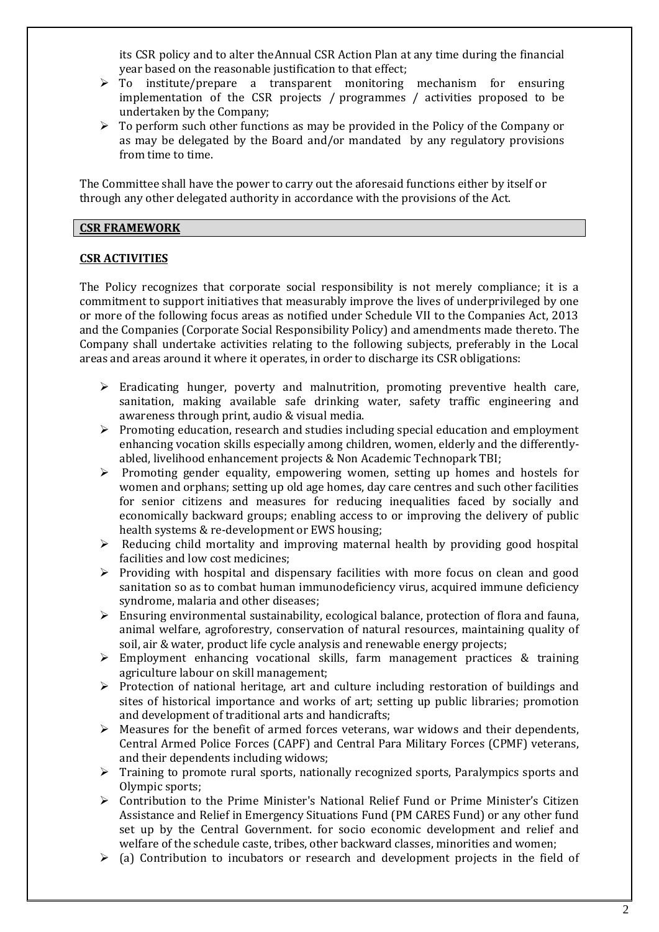its CSR policy and to alter theAnnual CSR Action Plan at any time during the financial year based on the reasonable justification to that effect;

- $\triangleright$  To institute/prepare a transparent monitoring mechanism for ensuring implementation of the CSR projects / programmes / activities proposed to be undertaken by the Company;
- $\triangleright$  To perform such other functions as may be provided in the Policy of the Company or as may be delegated by the Board and/or mandated by any regulatory provisions from time to time.

The Committee shall have the power to carry out the aforesaid functions either by itself or through any other delegated authority in accordance with the provisions of the Act.

# **CSR FRAMEWORK**

# **CSR ACTIVITIES**

The Policy recognizes that corporate social responsibility is not merely compliance; it is a commitment to support initiatives that measurably improve the lives of underprivileged by one or more of the following focus areas as notified under Schedule VII to the Companies Act, 2013 and the Companies (Corporate Social Responsibility Policy) and amendments made thereto. The Company shall undertake activities relating to the following subjects, preferably in the Local areas and areas around it where it operates, in order to discharge its CSR obligations:

- $\triangleright$  Eradicating hunger, poverty and malnutrition, promoting preventive health care, sanitation, making available safe drinking water, safety traffic engineering and awareness through print, audio & visual media.
- $\triangleright$  Promoting education, research and studies including special education and employment enhancing vocation skills especially among children, women, elderly and the differentlyabled, livelihood enhancement projects & Non Academic Technopark TBI;
- $\triangleright$  Promoting gender equality, empowering women, setting up homes and hostels for women and orphans; setting up old age homes, day care centres and such other facilities for senior citizens and measures for reducing inequalities faced by socially and economically backward groups; enabling access to or improving the delivery of public health systems & re-development or EWS housing;
- $\triangleright$  Reducing child mortality and improving maternal health by providing good hospital facilities and low cost medicines;
- $\triangleright$  Providing with hospital and dispensary facilities with more focus on clean and good sanitation so as to combat human immunodeficiency virus, acquired immune deficiency syndrome, malaria and other diseases;
- $\triangleright$  Ensuring environmental sustainability, ecological balance, protection of flora and fauna, animal welfare, agroforestry, conservation of natural resources, maintaining quality of soil, air & water, product life cycle analysis and renewable energy projects;
- $\triangleright$  Employment enhancing vocational skills, farm management practices & training agriculture labour on skill management;
- $\triangleright$  Protection of national heritage, art and culture including restoration of buildings and sites of historical importance and works of art; setting up public libraries; promotion and development of traditional arts and handicrafts;
- $\triangleright$  Measures for the benefit of armed forces veterans, war widows and their dependents, Central Armed Police Forces (CAPF) and Central Para Military Forces (CPMF) veterans, and their dependents including widows;
- $\triangleright$  Training to promote rural sports, nationally recognized sports, Paralympics sports and Olympic sports;
- $\triangleright$  Contribution to the Prime Minister's National Relief Fund or Prime Minister's Citizen Assistance and Relief in Emergency Situations Fund (PM CARES Fund) or any other fund set up by the Central Government. for socio economic development and relief and welfare of the schedule caste, tribes, other backward classes, minorities and women;
- $\triangleright$  (a) Contribution to incubators or research and development projects in the field of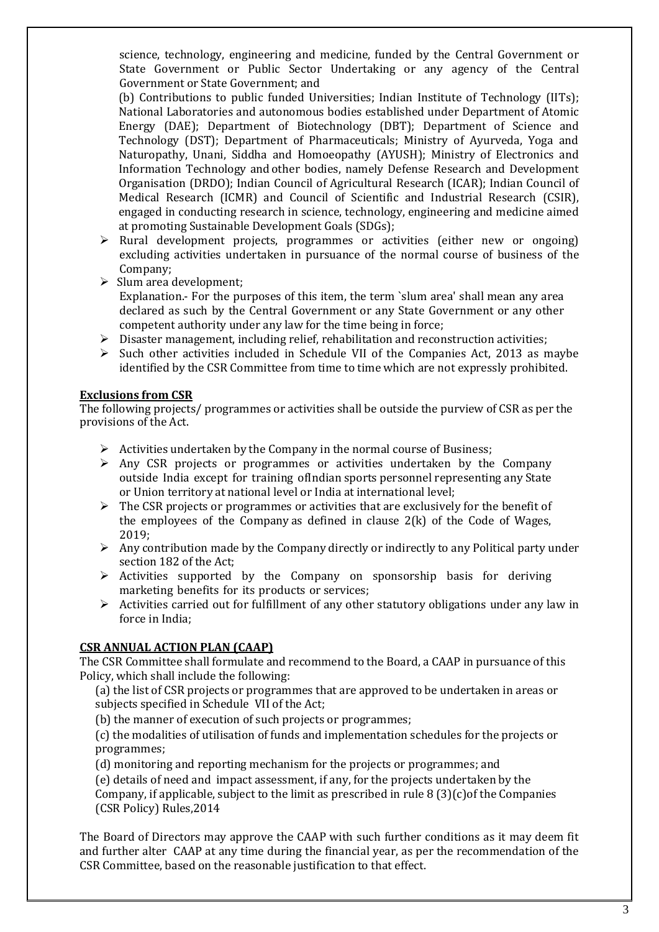science, technology, engineering and medicine, funded by the Central Government or State Government or Public Sector Undertaking or any agency of the Central Government or State Government; and

(b) Contributions to public funded Universities; Indian Institute of Technology (IITs); National Laboratories and autonomous bodies established under Department of Atomic Energy (DAE); Department of Biotechnology (DBT); Department of Science and Technology (DST); Department of Pharmaceuticals; Ministry of Ayurveda, Yoga and Naturopathy, Unani, Siddha and Homoeopathy (AYUSH); Ministry of Electronics and Information Technology andother bodies, namely Defense Research and Development Organisation (DRDO); Indian Council of Agricultural Research (ICAR); Indian Council of Medical Research (ICMR) and Council of Scientific and Industrial Research (CSIR), engaged in conducting research in science, technology, engineering and medicine aimed at promoting Sustainable Development Goals (SDGs);

- $\triangleright$  Rural development projects, programmes or activities (either new or ongoing) excluding activities undertaken in pursuance of the normal course of business of the Company;
- $\triangleright$  Slum area development; Explanation.- For the purposes of this item, the term `slum area' shall mean any area declared as such by the Central Government or any State Government or any other competent authority under any law for the time being in force;
- Disaster management, including relief, rehabilitation and reconstruction activities;
- $\triangleright$  Such other activities included in Schedule VII of the Companies Act, 2013 as maybe identified by the CSR Committee from time to time which are not expressly prohibited.

# **Exclusions from CSR**

The following projects/ programmes or activities shall be outside the purview of CSR as per the provisions of the Act.

- $\triangleright$  Activities undertaken by the Company in the normal course of Business;
- $\triangleright$  Any CSR projects or programmes or activities undertaken by the Company outside India except for training ofIndian sports personnel representing any State or Union territory at national level or India at international level;
- $\triangleright$  The CSR projects or programmes or activities that are exclusively for the benefit of the employees of the Company as defined in clause  $2(k)$  of the Code of Wages, 2019;
- $\triangleright$  Any contribution made by the Company directly or indirectly to any Political party under section 182 of the Act;
- $\triangleright$  Activities supported by the Company on sponsorship basis for deriving marketing benefits for its products or services;
- $\triangleright$  Activities carried out for fulfillment of any other statutory obligations under any law in force in India;

#### **CSR ANNUAL ACTION PLAN (CAAP)**

The CSR Committee shall formulate and recommend to the Board, a CAAP in pursuance of this Policy, which shall include the following:

(a) the list of CSR projects or programmes that are approved to be undertaken in areas or subjects specified in Schedule VII of the Act;

(b) the manner of execution of such projects or programmes;

(c) the modalities of utilisation of funds and implementation schedules for the projects or programmes;

(d) monitoring and reporting mechanism for the projects or programmes; and

(e) details of need and impact assessment, if any, for the projects undertaken by the

Company, if applicable, subject to the limit as prescribed in rule  $8 \binom{3}{c}$  of the Companies (CSR Policy) Rules,2014

The Board of Directors may approve the CAAP with such further conditions as it may deem fit and further alter CAAP at any time during the financial year, as per the recommendation of the CSR Committee, based on the reasonable justification to that effect.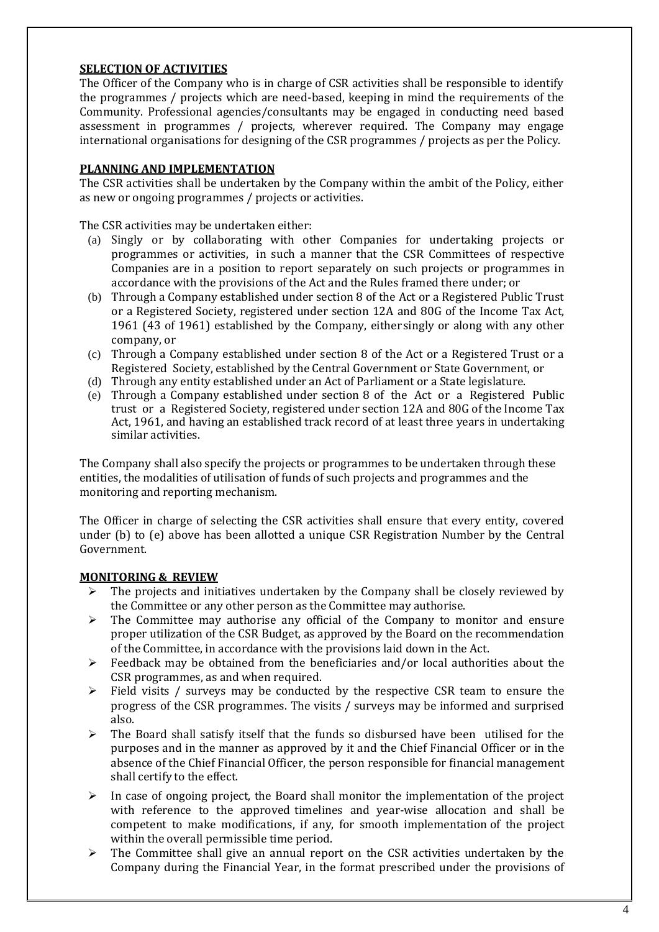# **SELECTION OF ACTIVITIES**

The Officer of the Company who is in charge of CSR activities shall be responsible to identify the programmes / projects which are need-based, keeping in mind the requirements of the Community. Professional agencies/consultants may be engaged in conducting need based assessment in programmes / projects, wherever required. The Company may engage international organisations for designing of the CSR programmes / projects as per the Policy.

# **PLANNING AND IMPLEMENTATION**

The CSR activities shall be undertaken by the Company within the ambit of the Policy, either as new or ongoing programmes / projects or activities.

The CSR activities may be undertaken either:

- (a) Singly or by collaborating with other Companies for undertaking projects or programmes or activities, in such a manner that the CSR Committees of respective Companies are in a position to report separately on such projects or programmes in accordance with the provisions of the Act and the Rules framed there under; or
- (b) Through a Company established under section 8 of the Act or a Registered Public Trust or a Registered Society, registered under section 12A and 80G of the Income Tax Act, 1961 (43 of 1961) established by the Company, either singly or along with any other company, or
- (c) Through a Company established under section 8 of the Act or a Registered Trust or a Registered Society, established by the Central Government or State Government, or
- (d) Through any entity established under an Act of Parliament or a State legislature.
- (e) Through a Company established under section 8 of the Act or a Registered Public trust or a Registered Society, registered under section 12A and 80G of the Income Tax Act, 1961, and having an established track record of at least three years in undertaking similar activities.

The Company shall also specify the projects or programmes to be undertaken through these entities, the modalities of utilisation of funds of such projects and programmes and the monitoring and reporting mechanism.

The Officer in charge of selecting the CSR activities shall ensure that every entity, covered under (b) to (e) above has been allotted a unique CSR Registration Number by the Central Government.

#### **MONITORING & REVIEW**

- $\triangleright$  The projects and initiatives undertaken by the Company shall be closely reviewed by the Committee or any other person as the Committee may authorise.
- $\triangleright$  The Committee may authorise any official of the Company to monitor and ensure proper utilization of the CSR Budget, as approved by the Board on the recommendation of the Committee, in accordance with the provisions laid down in the Act.
- $\triangleright$  Feedback may be obtained from the beneficiaries and/or local authorities about the CSR programmes, as and when required.
- $\triangleright$  Field visits / surveys may be conducted by the respective CSR team to ensure the progress of the CSR programmes. The visits / surveys may be informed and surprised also.
- $\triangleright$  The Board shall satisfy itself that the funds so disbursed have been utilised for the purposes and in the manner as approved by it and the Chief Financial Officer or in the absence of the Chief Financial Officer, the person responsible for financial management shall certify to the effect.
- $\triangleright$  In case of ongoing project, the Board shall monitor the implementation of the project with reference to the approved timelines and year-wise allocation and shall be competent to make modifications, if any, for smooth implementation of the project within the overall permissible time period.
- The Committee shall give an annual report on the CSR activities undertaken by the Company during the Financial Year, in the format prescribed under the provisions of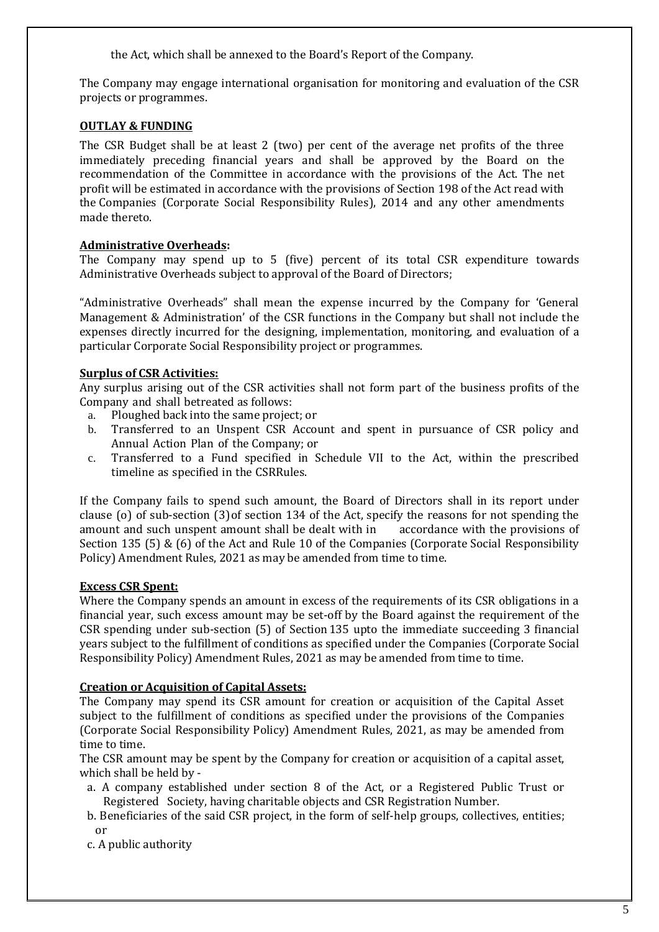the Act, which shall be annexed to the Board's Report of the Company.

The Company may engage international organisation for monitoring and evaluation of the CSR projects or programmes.

# **OUTLAY & FUNDING**

The CSR Budget shall be at least 2 (two) per cent of the average net profits of the three immediately preceding financial years and shall be approved by the Board on the recommendation of the Committee in accordance with the provisions of the Act. The net profit will be estimated in accordance with the provisions of Section 198 of the Act read with the Companies (Corporate Social Responsibility Rules), 2014 and any other amendments made thereto.

# **Administrative Overheads:**

The Company may spend up to 5 (five) percent of its total CSR expenditure towards Administrative Overheads subject to approval of the Board of Directors;

"Administrative Overheads" shall mean the expense incurred by the Company for 'General Management & Administration' of the CSR functions in the Company but shall not include the expenses directly incurred for the designing, implementation, monitoring, and evaluation of a particular Corporate Social Responsibility project or programmes.

# **Surplus of CSR Activities:**

Any surplus arising out of the CSR activities shall not form part of the business profits of the Company and shall betreated as follows:

- a. Ploughed back into the same project; or
- b. Transferred to an Unspent CSR Account and spent in pursuance of CSR policy and Annual Action Plan of the Company; or
- c. Transferred to a Fund specified in Schedule VII to the Act, within the prescribed timeline as specified in the CSRRules.

If the Company fails to spend such amount, the Board of Directors shall in its report under clause (o) of sub-section (3)of section 134 of the Act, specify the reasons for not spending the amount and such unspent amount shall be dealt with in accordance with the provisions of Section 135 (5) & (6) of the Act and Rule 10 of the Companies (Corporate Social Responsibility Policy) Amendment Rules, 2021 as may be amended from time to time.

#### **Excess CSR Spent:**

Where the Company spends an amount in excess of the requirements of its CSR obligations in a financial year, such excess amount may be set-off by the Board against the requirement of the CSR spending under sub-section (5) of Section135 upto the immediate succeeding 3 financial years subject to the fulfillment of conditions as specified under the Companies (Corporate Social Responsibility Policy) Amendment Rules, 2021 as may be amended from time to time.

# **Creation or Acquisition of Capital Assets:**

The Company may spend its CSR amount for creation or acquisition of the Capital Asset subject to the fulfillment of conditions as specified under the provisions of the Companies (Corporate Social Responsibility Policy) Amendment Rules, 2021, as may be amended from time to time.

The CSR amount may be spent by the Company for creation or acquisition of a capital asset, which shall be held by -

- a. A company established under section 8 of the Act, or a Registered Public Trust or Registered Society, having charitable objects and CSR Registration Number.
- b. Beneficiaries of the said CSR project, in the form of self-help groups, collectives, entities; or

c. A public authority